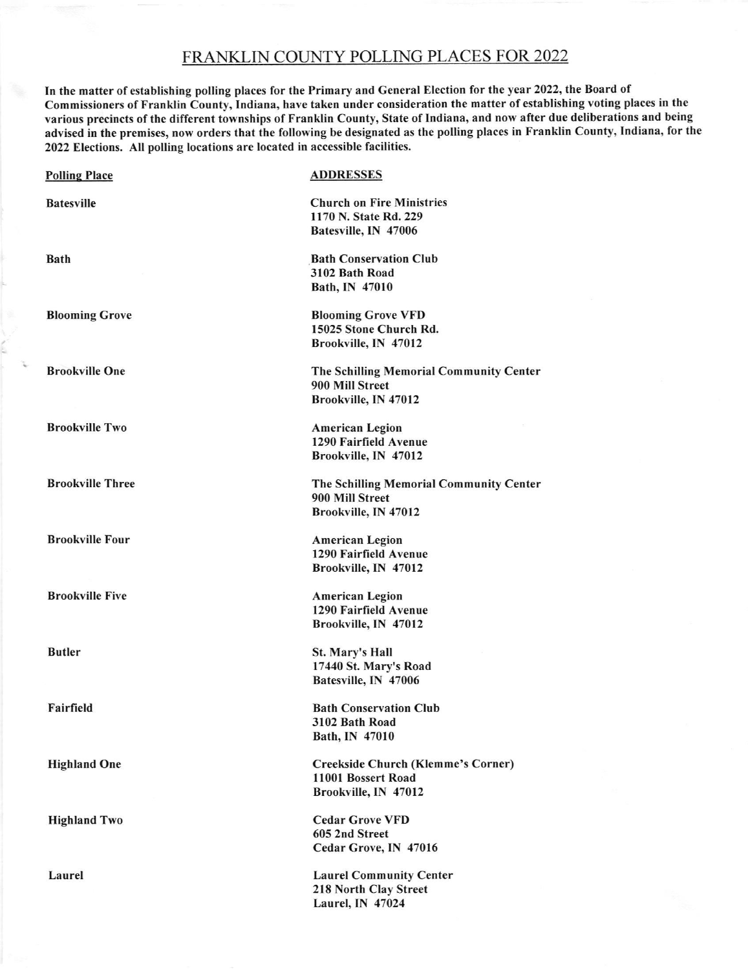## FRANKLIN COUNTY POLLING PLACES FOR 2022

In the matter of establishing polling places for the Primary and General Election for the year 2022, the Board of Commissioners of Franklin County, Indiana, have taken under consideration the matter of establishing voting places in the various precincts of the different townships of Franklin County, State of Indiana, and now after due deliberations and being advised in the premises, now orders that the followirg be designated as the polling places in Franklin County, lndiana, for the 2022 Elections. All polling locations are located in accessible facilities.

| <b>Polling Place</b>    | <b>ADDRESSES</b>                                                                        |
|-------------------------|-----------------------------------------------------------------------------------------|
| <b>Batesville</b>       | <b>Church on Fire Ministries</b><br>1170 N. State Rd. 229<br>Batesville, IN 47006       |
| <b>Bath</b>             | <b>Bath Conservation Club</b><br>3102 Bath Road<br>Bath, IN 47010                       |
| <b>Blooming Grove</b>   | <b>Blooming Grove VFD</b><br>15025 Stone Church Rd.<br>Brookville, IN 47012             |
| <b>Brookville One</b>   | The Schilling Memorial Community Center<br>900 Mill Street<br>Brookville, IN 47012      |
| <b>Brookville Two</b>   | <b>American Legion</b><br>1290 Fairfield Avenue<br>Brookville, IN 47012                 |
| <b>Brookville Three</b> | The Schilling Memorial Community Center<br>900 Mill Street<br>Brookville, IN 47012      |
| <b>Brookville Four</b>  | <b>American Legion</b><br>1290 Fairfield Avenue<br>Brookville, IN 47012                 |
| <b>Brookville Five</b>  | <b>American Legion</b><br>1290 Fairfield Avenue<br>Brookville, IN 47012                 |
| <b>Butler</b>           | St. Mary's Hall<br>17440 St. Mary's Road<br>Batesville, IN 47006                        |
| Fairfield               | <b>Bath Conservation Club</b><br>3102 Bath Road<br>Bath, IN 47010                       |
| <b>Highland One</b>     | <b>Creekside Church (Klemme's Corner)</b><br>11001 Bossert Road<br>Brookville, IN 47012 |
| <b>Highland Two</b>     | <b>Cedar Grove VFD</b><br>605 2nd Street<br>Cedar Grove, IN 47016                       |
| Laurel                  | <b>Laurel Community Center</b><br>218 North Clay Street<br>Laurel, IN 47024             |